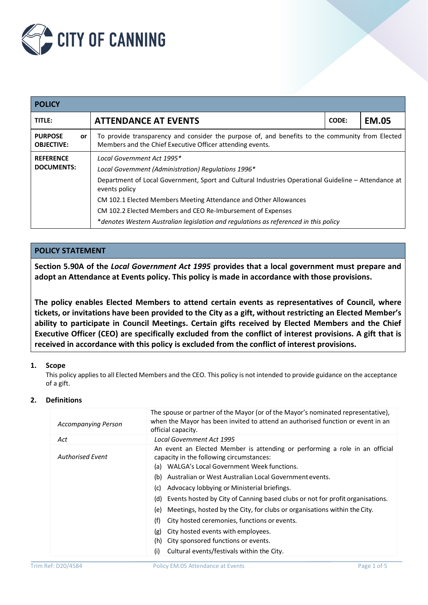

| <b>POLICY</b>                             |                                                                                                                                                              |       |              |  |  |
|-------------------------------------------|--------------------------------------------------------------------------------------------------------------------------------------------------------------|-------|--------------|--|--|
| TITLE:                                    | <b>ATTENDANCE AT EVENTS</b>                                                                                                                                  | CODE: | <b>EM.05</b> |  |  |
| <b>PURPOSE</b><br>or<br><b>OBJECTIVE:</b> | To provide transparency and consider the purpose of, and benefits to the community from Elected<br>Members and the Chief Executive Officer attending events. |       |              |  |  |
| <b>REFERENCE</b>                          | Local Government Act 1995*                                                                                                                                   |       |              |  |  |
| <b>DOCUMENTS:</b>                         | Local Government (Administration) Regulations 1996*                                                                                                          |       |              |  |  |
|                                           | Department of Local Government, Sport and Cultural Industries Operational Guideline - Attendance at<br>events policy                                         |       |              |  |  |
|                                           |                                                                                                                                                              |       |              |  |  |
|                                           | CM 102.2 Elected Members and CEO Re-Imbursement of Expenses                                                                                                  |       |              |  |  |
|                                           | *denotes Western Australian legislation and regulations as referenced in this policy                                                                         |       |              |  |  |

## **POLICY STATEMENT**

**Section 5.90A of the** *Local Government Act 1995* **provides that a local government must prepare and adopt an Attendance at Events policy. This policy is made in accordance with those provisions.**

**The policy enables Elected Members to attend certain events as representatives of Council, where tickets, or invitations have been provided to the City as a gift, without restricting an Elected Member's ability to participate in Council Meetings. Certain gifts received by Elected Members and the Chief Executive Officer (CEO) are specifically excluded from the conflict of interest provisions. A gift that is received in accordance with this policy is excluded from the conflict of interest provisions.**

## **1. Scope**

This policy applies to all Elected Members and the CEO. This policy is not intended to provide guidance on the acceptance of a gift.

### **2. Definitions**

| <b>Accompanying Person</b> | The spouse or partner of the Mayor (or of the Mayor's nominated representative),<br>when the Mayor has been invited to attend an authorised function or event in an<br>official capacity. |
|----------------------------|-------------------------------------------------------------------------------------------------------------------------------------------------------------------------------------------|
| Act                        | Local Government Act 1995                                                                                                                                                                 |
| Authorised Event           | An event an Elected Member is attending or performing a role in an official<br>capacity in the following circumstances:<br>WALGA's Local Government Week functions.<br>(a)                |
|                            | Australian or West Australian Local Government events.<br>(b)                                                                                                                             |
|                            | Advocacy lobbying or Ministerial briefings.<br>(c)                                                                                                                                        |
|                            | Events hosted by City of Canning based clubs or not for profit organisations.<br>(d)                                                                                                      |
|                            | Meetings, hosted by the City, for clubs or organisations within the City.<br>(e)                                                                                                          |
|                            | (f)<br>City hosted ceremonies, functions or events.                                                                                                                                       |
|                            | City hosted events with employees.<br>(g)                                                                                                                                                 |
|                            | City sponsored functions or events.<br>(h)                                                                                                                                                |
|                            | Cultural events/festivals within the City.<br>(i)                                                                                                                                         |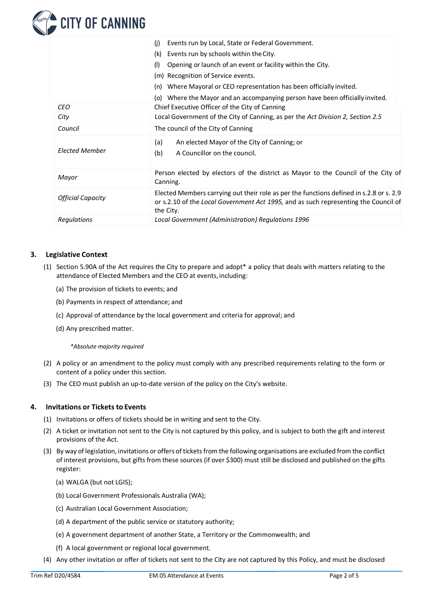

|                          | Events run by Local, State or Federal Government.<br>(i)                                                                                                                                    |  |
|--------------------------|---------------------------------------------------------------------------------------------------------------------------------------------------------------------------------------------|--|
|                          | Events run by schools within the City.<br>(k)                                                                                                                                               |  |
|                          | (1)<br>Opening or launch of an event or facility within the City.                                                                                                                           |  |
|                          | (m) Recognition of Service events.                                                                                                                                                          |  |
|                          | Where Mayoral or CEO representation has been officially invited.<br>(n)                                                                                                                     |  |
|                          | Where the Mayor and an accompanying person have been officially invited.<br>(o)                                                                                                             |  |
| <b>CEO</b>               | Chief Executive Officer of the City of Canning                                                                                                                                              |  |
| City                     | Local Government of the City of Canning, as per the Act Division 2, Section 2.5                                                                                                             |  |
| Council                  | The council of the City of Canning                                                                                                                                                          |  |
| <b>Elected Member</b>    | An elected Mayor of the City of Canning; or<br>(a)<br>A Councillor on the council.<br>(b)                                                                                                   |  |
| Mayor                    | Person elected by electors of the district as Mayor to the Council of the City of<br>Canning.                                                                                               |  |
| <b>Official Capacity</b> | Elected Members carrying out their role as per the functions defined in s.2.8 or s. 2.9<br>or s.2.10 of the Local Government Act 1995, and as such representing the Council of<br>the City. |  |
| Regulations              | Local Government (Administration) Regulations 1996                                                                                                                                          |  |

## **3. Legislative Context**

- (1) Section 5.90A of the Act requires the City to prepare and adopt\* a policy that deals with matters relating to the attendance of Elected Members and the CEO at events, including:
	- (a) The provision of tickets to events; and
	- (b) Payments in respect of attendance; and
	- (c) Approval of attendance by the local government and criteria for approval; and
	- (d) Any prescribed matter.

*\*Absolute majority required*

- (2) A policy or an amendment to the policy must comply with any prescribed requirements relating to the form or content of a policy under this section.
- (3) The CEO must publish an up-to-date version of the policy on the City's website.

#### **4. Invitations or Tickets to Events**

- (1) Invitations or offers of tickets should be in writing and sent to the City.
- (2) A ticket or invitation not sent to the City is not captured by this policy, and is subject to both the gift and interest provisions of the Act.
- (3) By way of legislation, invitations or offers of ticketsfrom the following organisations are excluded from the conflict of interest provisions, but gifts from these sources (if over \$300) must still be disclosed and published on the gifts register:
	- (a) WALGA (but not LGIS);
	- (b) Local Government Professionals Australia (WA);
	- (c) Australian Local Government Association;
	- (d) A department of the public service or statutory authority;
	- (e) A government department of another State, a Territory or the Commonwealth; and
	- (f) A local government or regional local government.
- (4) Any other invitation or offer of tickets not sent to the City are not captured by this Policy, and must be disclosed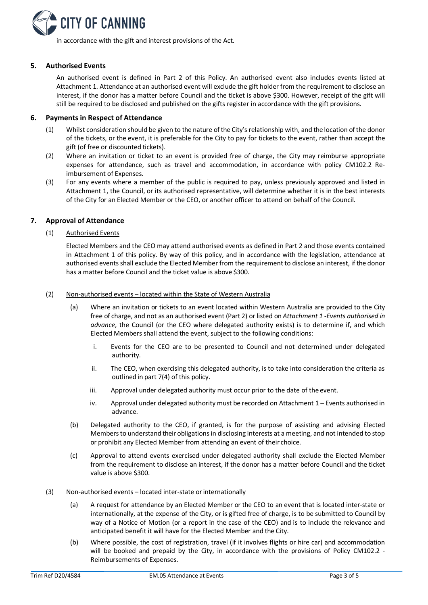

in accordance with the gift and interest provisions of the Act.

### **5. Authorised Events**

An authorised event is defined in Part 2 of this Policy. An authorised event also includes events listed at Attachment 1. Attendance at an authorised event will exclude the gift holder from the requirement to disclose an interest, if the donor has a matter before Council and the ticket is above \$300. However, receipt of the gift will still be required to be disclosed and published on the gifts register in accordance with the gift provisions.

## **6. Payments in Respect of Attendance**

- (1) Whilst consideration should be given to the nature of the City's relationship with, and the location of the donor of the tickets, or the event, it is preferable for the City to pay for tickets to the event, rather than accept the gift (of free or discounted tickets).
- (2) Where an invitation or ticket to an event is provided free of charge, the City may reimburse appropriate expenses for attendance, such as travel and accommodation, in accordance with policy CM102.2 Reimbursement of Expenses.
- (3) For any events where a member of the public is required to pay, unless previously approved and listed in Attachment 1, the Council, or its authorised representative, will determine whether it is in the best interests of the City for an Elected Member or the CEO, or another officer to attend on behalf of the Council.

## **7. Approval of Attendance**

(1) Authorised Events

Elected Members and the CEO may attend authorised events as defined in Part 2 and those events contained in Attachment 1 of this policy. By way of this policy, and in accordance with the legislation, attendance at authorised events shall exclude the Elected Member from the requirement to disclose an interest, if the donor has a matter before Council and the ticket value is above \$300.

#### (2) Non-authorised events – located within the State of Western Australia

- (a) Where an invitation or tickets to an event located within Western Australia are provided to the City free of charge, and not as an authorised event (Part 2) or listed on *Attachment 1 -Events authorised in advance*, the Council (or the CEO where delegated authority exists) is to determine if, and which Elected Members shall attend the event, subject to the following conditions:
	- i. Events for the CEO are to be presented to Council and not determined under delegated authority.
	- ii. The CEO, when exercising this delegated authority, is to take into consideration the criteria as outlined in part 7(4) of this policy.
	- iii. Approval under delegated authority must occur prior to the date of the event.
	- iv. Approval under delegated authority must be recorded on Attachment 1 Events authorised in advance.
- (b) Delegated authority to the CEO, if granted, is for the purpose of assisting and advising Elected Members to understand their obligations in disclosing interests at a meeting, and not intended to stop or prohibit any Elected Member from attending an event of their choice.
- (c) Approval to attend events exercised under delegated authority shall exclude the Elected Member from the requirement to disclose an interest, if the donor has a matter before Council and the ticket value is above \$300.

#### (3) Non-authorised events – located inter-state orinternationally

- (a) A request for attendance by an Elected Member or the CEO to an event that is located inter-state or internationally, at the expense of the City, or is gifted free of charge, is to be submitted to Council by way of a Notice of Motion (or a report in the case of the CEO) and is to include the relevance and anticipated benefit it will have for the Elected Member and the City.
- (b) Where possible, the cost of registration, travel (if it involves flights or hire car) and accommodation will be booked and prepaid by the City, in accordance with the provisions of Policy CM102.2 -Reimbursements of Expenses.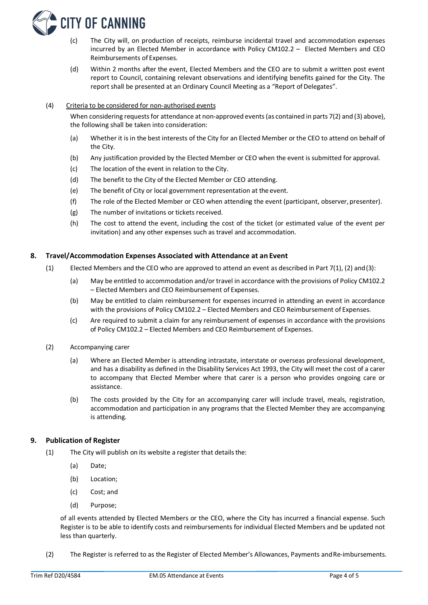

- (c) The City will, on production of receipts, reimburse incidental travel and accommodation expenses incurred by an Elected Member in accordance with Policy CM102.2 – Elected Members and CEO Reimbursements of Expenses.
- (d) Within 2 months after the event, Elected Members and the CEO are to submit a written post event report to Council, containing relevant observations and identifying benefits gained for the City. The report shall be presented at an Ordinary Council Meeting as a "Report of Delegates".

### (4) Criteria to be considered for non-authorised events

When considering requests for attendance at non-approved events (as contained in parts 7(2) and (3) above), the following shall be taken into consideration:

- (a) Whether it is in the best interests of the City for an Elected Member or the CEO to attend on behalf of the City.
- (b) Any justification provided by the Elected Member or CEO when the event is submitted for approval.
- (c) The location of the event in relation to the City.
- (d) The benefit to the City of the Elected Member or CEO attending.
- (e) The benefit of City or local government representation at the event.
- (f) The role of the Elected Member or CEO when attending the event (participant, observer, presenter).
- (g) The number of invitations or tickets received.
- (h) The cost to attend the event, including the cost of the ticket (or estimated value of the event per invitation) and any other expenses such as travel and accommodation.

#### **8. Travel/Accommodation Expenses Associated with Attendance at an Event**

- (1) Elected Members and the CEO who are approved to attend an event as described in Part 7(1), (2) and (3):
	- (a) May be entitled to accommodation and/or travel in accordance with the provisions of Policy CM102.2 – Elected Members and CEO Reimbursement of Expenses.
	- (b) May be entitled to claim reimbursement for expenses incurred in attending an event in accordance with the provisions of Policy CM102.2 – Elected Members and CEO Reimbursement of Expenses.
	- (c) Are required to submit a claim for any reimbursement of expenses in accordance with the provisions of Policy CM102.2 – Elected Members and CEO Reimbursement of Expenses.
- (2) Accompanying carer
	- (a) Where an Elected Member is attending intrastate, interstate or overseas professional development, and has a disability as defined in the Disability Services Act 1993, the City will meet the cost of a carer to accompany that Elected Member where that carer is a person who provides ongoing care or assistance.
	- (b) The costs provided by the City for an accompanying carer will include travel, meals, registration, accommodation and participation in any programs that the Elected Member they are accompanying is attending.

#### **9. Publication of Register**

- $(1)$  The City will publish on its website a register that details the:
	- (a) Date;
	- (b) Location;
	- (c) Cost; and
	- (d) Purpose;

of all events attended by Elected Members or the CEO, where the City has incurred a financial expense. Such Register is to be able to identify costs and reimbursements for individual Elected Members and be updated not less than quarterly.

(2) The Register is referred to as the Register of Elected Member's Allowances, Payments andRe-imbursements.